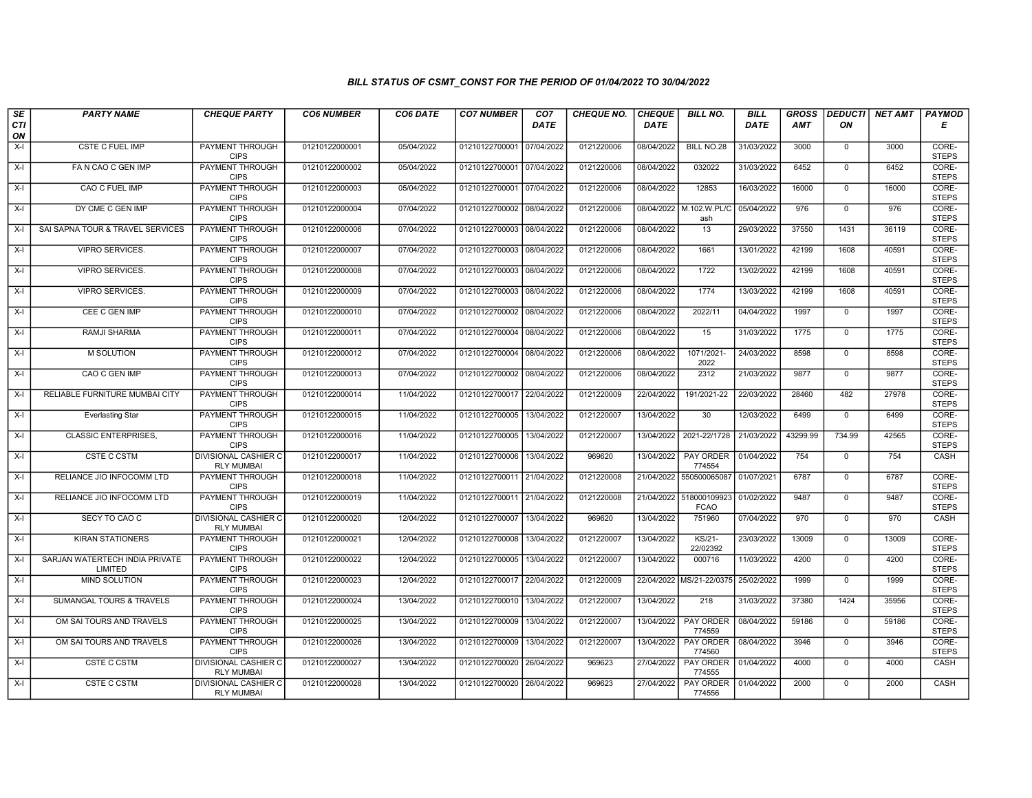## BILL STATUS OF CSMT\_CONST FOR THE PERIOD OF 01/04/2022 TO 30/04/2022

| SE        | <b>PARTY NAME</b>                         | <b>CHEQUE PARTY</b>                              | <b>CO6 NUMBER</b> | CO6 DATE   | <b>CO7 NUMBER</b>         | CO <sub>7</sub> | <b>CHEQUE NO.</b> | <b>CHEQUE</b> | <b>BILL NO.</b>             | <b>BILL</b> | <b>GROSS</b> | <b>DEDUCTI</b> | NET AMT | <b>PAYMOD</b>         |
|-----------|-------------------------------------------|--------------------------------------------------|-------------------|------------|---------------------------|-----------------|-------------------|---------------|-----------------------------|-------------|--------------|----------------|---------|-----------------------|
| CTI<br>ON |                                           |                                                  |                   |            |                           | <b>DATE</b>     |                   | <b>DATE</b>   |                             | DATE        | AMT          | ON             |         | Е                     |
| $X-I$     | <b>CSTE C FUEL IMP</b>                    | <b>PAYMENT THROUGH</b><br><b>CIPS</b>            | 01210122000001    | 05/04/2022 | 01210122700001 07/04/2022 |                 | 0121220006        | 08/04/2022    | BILL NO.28                  | 31/03/2022  | 3000         | $\mathbf 0$    | 3000    | CORE-<br><b>STEPS</b> |
| X-I       | FA N CAO C GEN IMP                        | <b>PAYMENT THROUGH</b><br><b>CIPS</b>            | 01210122000002    | 05/04/2022 | 01210122700001 07/04/2022 |                 | 0121220006        | 08/04/2022    | 032022                      | 31/03/2022  | 6452         | $\mathbf{0}$   | 6452    | CORE-<br><b>STEPS</b> |
| X-I       | CAO C FUEL IMP                            | PAYMENT THROUGH<br><b>CIPS</b>                   | 01210122000003    | 05/04/2022 | 01210122700001 07/04/2022 |                 | 0121220006        | 08/04/2022    | 12853                       | 16/03/2022  | 16000        | $\mathbf 0$    | 16000   | CORE-<br><b>STEPS</b> |
| X-I       | DY CME C GEN IMP                          | PAYMENT THROUGH<br><b>CIPS</b>                   | 01210122000004    | 07/04/2022 | 01210122700002 08/04/2022 |                 | 0121220006        | 08/04/2022    | M.102.W.PL/C<br>ash         | 05/04/2022  | 976          | $\mathbf 0$    | 976     | CORE-<br><b>STEPS</b> |
| $X-I$     | SAI SAPNA TOUR & TRAVEL SERVICES          | <b>PAYMENT THROUGH</b><br><b>CIPS</b>            | 01210122000006    | 07/04/2022 | 01210122700003            | 08/04/2022      | 0121220006        | 08/04/2022    | 13                          | 29/03/2022  | 37550        | 1431           | 36119   | CORE-<br><b>STEPS</b> |
| X-I       | <b>VIPRO SERVICES.</b>                    | <b>PAYMENT THROUGH</b><br><b>CIPS</b>            | 01210122000007    | 07/04/2022 | 01210122700003 08/04/2022 |                 | 0121220006        | 08/04/2022    | 1661                        | 13/01/2022  | 42199        | 1608           | 40591   | CORE-<br><b>STEPS</b> |
| X-I       | VIPRO SERVICES.                           | PAYMENT THROUGH<br><b>CIPS</b>                   | 01210122000008    | 07/04/2022 | 01210122700003 08/04/2022 |                 | 0121220006        | 08/04/2022    | 1722                        | 13/02/2022  | 42199        | 1608           | 40591   | CORE-<br><b>STEPS</b> |
| X-I       | <b>VIPRO SERVICES.</b>                    | <b>PAYMENT THROUGH</b><br><b>CIPS</b>            | 01210122000009    | 07/04/2022 | 01210122700003 08/04/2022 |                 | 0121220006        | 08/04/2022    | 1774                        | 13/03/2022  | 42199        | 1608           | 40591   | CORE-<br><b>STEPS</b> |
| X-I       | CEE C GEN IMP                             | <b>PAYMENT THROUGH</b><br><b>CIPS</b>            | 01210122000010    | 07/04/2022 | 01210122700002 08/04/2022 |                 | 0121220006        | 08/04/2022    | 2022/11                     | 04/04/2022  | 1997         | 0              | 1997    | CORE-<br><b>STEPS</b> |
| $X-I$     | <b>RAMJI SHARMA</b>                       | <b>PAYMENT THROUGH</b><br><b>CIPS</b>            | 01210122000011    | 07/04/2022 | 01210122700004 08/04/2022 |                 | 0121220006        | 08/04/2022    | 15                          | 31/03/2022  | 1775         | $\mathbf 0$    | 1775    | CORE-<br><b>STEPS</b> |
| X-I       | M SOLUTION                                | PAYMENT THROUGH<br><b>CIPS</b>                   | 01210122000012    | 07/04/2022 | 01210122700004            | 08/04/2022      | 0121220006        | 08/04/2022    | 1071/2021<br>2022           | 24/03/2022  | 8598         | $\mathbf 0$    | 8598    | CORE-<br><b>STEPS</b> |
| $X-I$     | CAO C GEN IMP                             | <b>PAYMENT THROUGH</b><br><b>CIPS</b>            | 01210122000013    | 07/04/2022 | 01210122700002 08/04/2022 |                 | 0121220006        | 08/04/2022    | 2312                        | 21/03/2022  | 9877         | $\Omega$       | 9877    | CORE-<br><b>STEPS</b> |
| X-I       | RELIABLE FURNITURE MUMBAI CITY            | <b>PAYMENT THROUGH</b><br><b>CIPS</b>            | 01210122000014    | 11/04/2022 | 01210122700017 22/04/2022 |                 | 0121220009        | 22/04/2022    | 191/2021-22                 | 22/03/2022  | 28460        | 482            | 27978   | CORE-<br><b>STEPS</b> |
| X-I       | <b>Everlasting Star</b>                   | <b>PAYMENT THROUGH</b><br><b>CIPS</b>            | 01210122000015    | 11/04/2022 | 01210122700005            | 13/04/2022      | 0121220007        | 13/04/2022    | $\overline{30}$             | 12/03/2022  | 6499         | $\mathbf 0$    | 6499    | CORE-<br><b>STEPS</b> |
| $X-I$     | <b>CLASSIC ENTERPRISES,</b>               | PAYMENT THROUGH<br><b>CIPS</b>                   | 01210122000016    | 11/04/2022 | 01210122700005            | 13/04/2022      | 0121220007        | 13/04/2022    | 2021-22/1728                | 21/03/2022  | 43299.99     | 734.99         | 42565   | CORE-<br><b>STEPS</b> |
| $X-I$     | <b>CSTE C CSTM</b>                        | <b>DIVISIONAL CASHIER C</b><br><b>RLY MUMBAI</b> | 01210122000017    | 11/04/2022 | 01210122700006            | 13/04/2022      | 969620            | 13/04/2022    | PAY ORDER<br>774554         | 01/04/2022  | 754          | $\mathbf 0$    | 754     | CASH                  |
| $X-I$     | RELIANCE JIO INFOCOMM LTD                 | <b>PAYMENT THROUGH</b><br><b>CIPS</b>            | 01210122000018    | 11/04/2022 | 01210122700011 21/04/2022 |                 | 0121220008        | 21/04/2022    | 550500065087                | 01/07/2021  | 6787         | $\mathbf{0}$   | 6787    | CORE-<br><b>STEPS</b> |
| $X-I$     | RELIANCE JIO INFOCOMM LTD                 | <b>PAYMENT THROUGH</b><br><b>CIPS</b>            | 01210122000019    | 11/04/2022 | 01210122700011 21/04/2022 |                 | 0121220008        | 21/04/2022    | 518000109923<br><b>FCAO</b> | 01/02/2022  | 9487         | $\Omega$       | 9487    | CORE-<br><b>STEPS</b> |
| $X-I$     | SECY TO CAO C                             | <b>DIVISIONAL CASHIER C</b><br><b>RLY MUMBAI</b> | 01210122000020    | 12/04/2022 | 01210122700007            | 13/04/2022      | 969620            | 13/04/2022    | 751960                      | 07/04/2022  | 970          | $\mathbf 0$    | 970     | CASH                  |
| $X-I$     | <b>KIRAN STATIONERS</b>                   | PAYMENT THROUGH<br><b>CIPS</b>                   | 01210122000021    | 12/04/2022 | 01210122700008            | 13/04/2022      | 0121220007        | 13/04/2022    | KS/21-<br>22/02392          | 23/03/2022  | 13009        | $\overline{0}$ | 13009   | CORE-<br><b>STEPS</b> |
| $X-I$     | SARJAN WATERTECH INDIA PRIVATE<br>LIMITED | <b>PAYMENT THROUGH</b><br><b>CIPS</b>            | 01210122000022    | 12/04/2022 | 01210122700005            | 13/04/2022      | 0121220007        | 13/04/2022    | 000716                      | 11/03/2022  | 4200         | $\mathbf{0}$   | 4200    | CORE-<br><b>STEPS</b> |
| X-I       | MIND SOLUTION                             | <b>PAYMENT THROUGH</b><br><b>CIPS</b>            | 01210122000023    | 12/04/2022 | 01210122700017 22/04/2022 |                 | 0121220009        |               | 22/04/2022 MS/21-22/0375    | 25/02/2022  | 1999         | $\mathbf 0$    | 1999    | CORE-<br><b>STEPS</b> |
| $X-I$     | SUMANGAL TOURS & TRAVELS                  | <b>PAYMENT THROUGH</b><br><b>CIPS</b>            | 01210122000024    | 13/04/2022 | 01210122700010            | 13/04/2022      | 0121220007        | 13/04/2022    | 218                         | 31/03/2022  | 37380        | 1424           | 35956   | CORE-<br><b>STEPS</b> |
| $X-I$     | OM SAI TOURS AND TRAVELS                  | PAYMENT THROUGH<br><b>CIPS</b>                   | 01210122000025    | 13/04/2022 | 01210122700009            | 13/04/2022      | 0121220007        | 13/04/2022    | PAY ORDER<br>774559         | 08/04/2022  | 59186        | $\mathbf 0$    | 59186   | CORE-<br><b>STEPS</b> |
| $X-I$     | OM SAI TOURS AND TRAVELS                  | PAYMENT THROUGH<br><b>CIPS</b>                   | 01210122000026    | 13/04/2022 | 01210122700009            | 13/04/2022      | 0121220007        | 13/04/2022    | PAY ORDER<br>774560         | 08/04/2022  | 3946         | $\Omega$       | 3946    | CORE-<br><b>STEPS</b> |
| $X-I$     | <b>CSTE C CSTM</b>                        | <b>DIVISIONAL CASHIER C</b><br><b>RLY MUMBAI</b> | 01210122000027    | 13/04/2022 | 01210122700020 26/04/2022 |                 | 969623            | 27/04/2022    | PAY ORDER<br>774555         | 01/04/2022  | 4000         | $\mathbf 0$    | 4000    | <b>CASH</b>           |
| X-I       | <b>CSTE C CSTM</b>                        | <b>DIVISIONAL CASHIER C</b><br><b>RLY MUMBAI</b> | 01210122000028    | 13/04/2022 | 01210122700020 26/04/2022 |                 | 969623            | 27/04/2022    | PAY ORDER<br>774556         | 01/04/2022  | 2000         | $\mathbf 0$    | 2000    | CASH                  |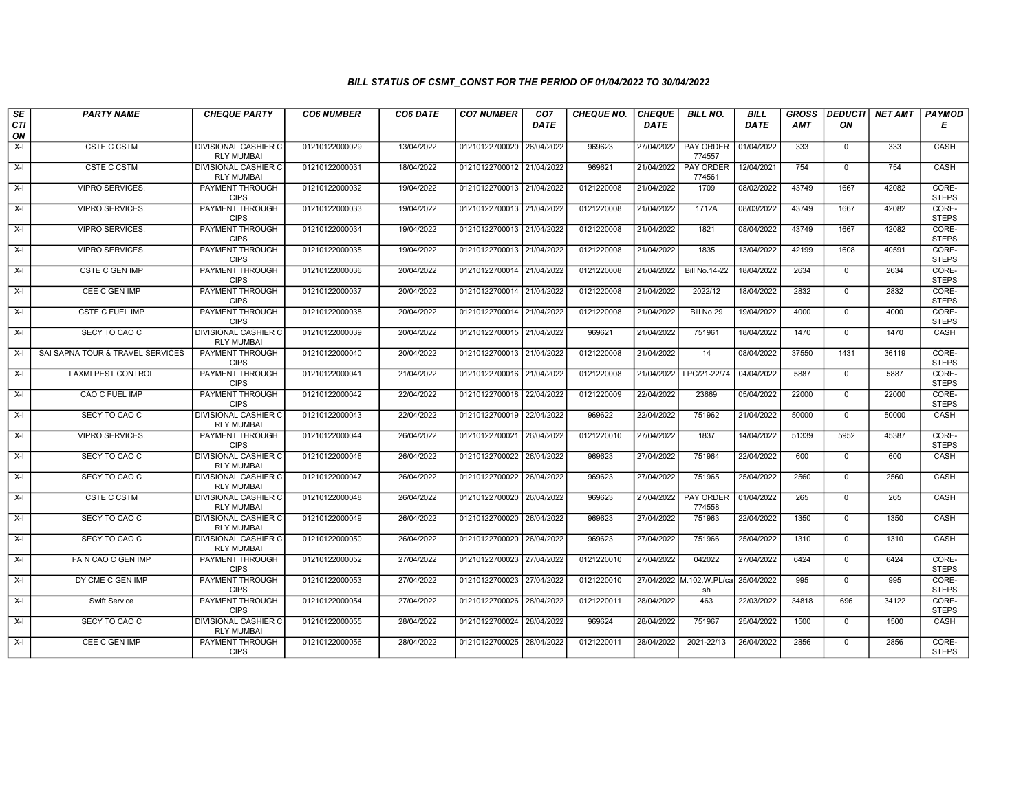## BILL STATUS OF CSMT\_CONST FOR THE PERIOD OF 01/04/2022 TO 30/04/2022

| SE        | <b>PARTY NAME</b>                | <b>CHEQUE PARTY</b>                              | <b>CO6 NUMBER</b> | CO6 DATE   | <b>CO7 NUMBER</b>         | CO <sub>7</sub> | <b>CHEQUE NO.</b> | <b>CHEQUE</b> | <b>BILL NO.</b>                | <b>BILL</b> | <b>GROSS</b> | <b>DEDUCTI</b> | NET AMT PAYMOD |                       |
|-----------|----------------------------------|--------------------------------------------------|-------------------|------------|---------------------------|-----------------|-------------------|---------------|--------------------------------|-------------|--------------|----------------|----------------|-----------------------|
| CTI<br>ON |                                  |                                                  |                   |            |                           | <b>DATE</b>     |                   | <b>DATE</b>   |                                | DATE        | <b>AMT</b>   | ON             |                | Е                     |
| $X-I$     | <b>CSTE C CSTM</b>               | <b>DIVISIONAL CASHIER C</b>                      | 01210122000029    | 13/04/2022 | 01210122700020            | 26/04/2022      | 969623            | 27/04/2022    | <b>PAY ORDER</b>               | 01/04/2022  | 333          | $\mathbf 0$    | 333            | CASH                  |
|           |                                  | <b>RLY MUMBAI</b>                                |                   |            |                           |                 |                   |               | 774557                         |             |              |                |                |                       |
| $X-I$     | <b>CSTE C CSTM</b>               | DIVISIONAL CASHIER C<br><b>RLY MUMBAI</b>        | 01210122000031    | 18/04/2022 | 01210122700012 21/04/2022 |                 | 969621            | 21/04/2022    | <b>PAY ORDER</b><br>774561     | 12/04/2021  | 754          | $\Omega$       | 754            | <b>CASH</b>           |
| X-I       | VIPRO SERVICES.                  | PAYMENT THROUGH<br><b>CIPS</b>                   | 01210122000032    | 19/04/2022 | 01210122700013 21/04/2022 |                 | 0121220008        | 21/04/2022    | 1709                           | 08/02/2022  | 43749        | 1667           | 42082          | CORE-<br><b>STEPS</b> |
| X-I       | <b>VIPRO SERVICES.</b>           | <b>PAYMENT THROUGH</b><br><b>CIPS</b>            | 01210122000033    | 19/04/2022 | 01210122700013 21/04/2022 |                 | 0121220008        | 21/04/2022    | 1712A                          | 08/03/2022  | 43749        | 1667           | 42082          | CORE-<br><b>STEPS</b> |
| X-I       | <b>VIPRO SERVICES.</b>           | <b>PAYMENT THROUGH</b><br><b>CIPS</b>            | 01210122000034    | 19/04/2022 | 01210122700013 21/04/2022 |                 | 0121220008        | 21/04/2022    | 1821                           | 08/04/2022  | 43749        | 1667           | 42082          | CORE-<br><b>STEPS</b> |
| $X-I$     | <b>VIPRO SERVICES.</b>           | <b>PAYMENT THROUGH</b><br><b>CIPS</b>            | 01210122000035    | 19/04/2022 | 01210122700013 21/04/2022 |                 | 0121220008        | 21/04/2022    | 1835                           | 13/04/2022  | 42199        | 1608           | 40591          | CORE-<br><b>STEPS</b> |
| X-I       | CSTE C GEN IMP                   | PAYMENT THROUGH<br><b>CIPS</b>                   | 01210122000036    | 20/04/2022 | 01210122700014 21/04/2022 |                 | 0121220008        | 21/04/2022    | <b>Bill No.14-22</b>           | 18/04/2022  | 2634         | $\mathbf 0$    | 2634           | CORE-<br><b>STEPS</b> |
| X-I       | CEE C GEN IMP                    | PAYMENT THROUGH<br><b>CIPS</b>                   | 01210122000037    | 20/04/2022 | 01210122700014 21/04/2022 |                 | 0121220008        | 21/04/2022    | 2022/12                        | 18/04/2022  | 2832         | $\mathbf{0}$   | 2832           | CORE-<br><b>STEPS</b> |
| $X-I$     | <b>CSTE C FUEL IMP</b>           | <b>PAYMENT THROUGH</b><br><b>CIPS</b>            | 01210122000038    | 20/04/2022 | 01210122700014 21/04/2022 |                 | 0121220008        | 21/04/2022    | Bill No.29                     | 19/04/2022  | 4000         | $\mathbf 0$    | 4000           | CORE-<br><b>STEPS</b> |
| X-I       | SECY TO CAO C                    | <b>DIVISIONAL CASHIER C</b><br><b>RLY MUMBAI</b> | 01210122000039    | 20/04/2022 | 01210122700015 21/04/2022 |                 | 969621            | 21/04/2022    | 751961                         | 18/04/2022  | 1470         | $\overline{0}$ | 1470           | CASH                  |
| $X-I$     | SAI SAPNA TOUR & TRAVEL SERVICES | PAYMENT THROUGH<br><b>CIPS</b>                   | 01210122000040    | 20/04/2022 | 01210122700013 21/04/2022 |                 | 0121220008        | 21/04/2022    | 14                             | 08/04/2022  | 37550        | 1431           | 36119          | CORE-<br><b>STEPS</b> |
| X-I       | <b>LAXMI PEST CONTROL</b>        | <b>PAYMENT THROUGH</b><br><b>CIPS</b>            | 01210122000041    | 21/04/2022 | 01210122700016 21/04/2022 |                 | 0121220008        | 21/04/2022    | LPC/21-22/74                   | 04/04/2022  | 5887         | $\mathbf 0$    | 5887           | CORE-<br><b>STEPS</b> |
| $X-I$     | <b>CAO C FUEL IMP</b>            | PAYMENT THROUGH<br><b>CIPS</b>                   | 01210122000042    | 22/04/2022 | 01210122700018 22/04/2022 |                 | 0121220009        | 22/04/2022    | 23669                          | 05/04/2022  | 22000        | $\overline{0}$ | 22000          | CORE-<br><b>STEPS</b> |
| $X-I$     | SECY TO CAO C                    | <b>DIVISIONAL CASHIER C</b><br><b>RLY MUMBAI</b> | 01210122000043    | 22/04/2022 | 01210122700019            | 22/04/2022      | 969622            | 22/04/2022    | 751962                         | 21/04/2022  | 50000        | $\mathbf 0$    | 50000          | CASH                  |
| $X-I$     | <b>VIPRO SERVICES.</b>           | <b>PAYMENT THROUGH</b><br><b>CIPS</b>            | 01210122000044    | 26/04/2022 | 01210122700021            | 26/04/2022      | 0121220010        | 27/04/2022    | 1837                           | 14/04/2022  | 51339        | 5952           | 45387          | CORE-<br><b>STEPS</b> |
| $X-I$     | SECY TO CAO C                    | <b>DIVISIONAL CASHIER C</b><br><b>RLY MUMBAI</b> | 01210122000046    | 26/04/2022 | 01210122700022 26/04/2022 |                 | 969623            | 27/04/2022    | 751964                         | 22/04/2022  | 600          | $\mathbf 0$    | 600            | CASH                  |
| X-I       | SECY TO CAO C                    | <b>DIVISIONAL CASHIER C</b><br><b>RLY MUMBAI</b> | 01210122000047    | 26/04/2022 | 01210122700022 26/04/2022 |                 | 969623            | 27/04/2022    | 751965                         | 25/04/2022  | 2560         | $\mathbf 0$    | 2560           | CASH                  |
| $X-I$     | <b>CSTE C CSTM</b>               | <b>DIVISIONAL CASHIER C</b><br><b>RLY MUMBAI</b> | 01210122000048    | 26/04/2022 | 01210122700020 26/04/2022 |                 | 969623            | 27/04/2022    | <b>PAY ORDER</b><br>774558     | 01/04/2022  | 265          | $\mathbf 0$    | 265            | CASH                  |
| $X-I$     | SECY TO CAO C                    | DIVISIONAL CASHIER C<br><b>RLY MUMBAI</b>        | 01210122000049    | 26/04/2022 | 01210122700020 26/04/2022 |                 | 969623            | 27/04/2022    | 751963                         | 22/04/2022  | 1350         | $\mathbf 0$    | 1350           | CASH                  |
| $X-I$     | SECY TO CAO C                    | <b>DIVISIONAL CASHIER C</b><br><b>RLY MUMBAI</b> | 01210122000050    | 26/04/2022 | 01210122700020 26/04/2022 |                 | 969623            | 27/04/2022    | 751966                         | 25/04/2022  | 1310         | $\Omega$       | 1310           | CASH                  |
| $X-I$     | FA N CAO C GEN IMP               | <b>PAYMENT THROUGH</b><br><b>CIPS</b>            | 01210122000052    | 27/04/2022 | 01210122700023 27/04/2022 |                 | 0121220010        | 27/04/2022    | 042022                         | 27/04/2022  | 6424         | $\mathbf 0$    | 6424           | CORE-<br><b>STEPS</b> |
| X-I       | DY CME C GEN IMP                 | <b>PAYMENT THROUGH</b><br><b>CIPS</b>            | 01210122000053    | 27/04/2022 | 01210122700023 27/04/2022 |                 | 0121220010        |               | 27/04/2022 M.102.W.PL/ca<br>sh | 25/04/2022  | 995          | $\Omega$       | 995            | CORE-<br><b>STEPS</b> |
| $X-I$     | <b>Swift Service</b>             | <b>PAYMENT THROUGH</b><br><b>CIPS</b>            | 01210122000054    | 27/04/2022 | 01210122700026            | 28/04/2022      | 0121220011        | 28/04/2022    | 463                            | 22/03/2022  | 34818        | 696            | 34122          | CORE-<br><b>STEPS</b> |
| $X-I$     | SECY TO CAO C                    | DIVISIONAL CASHIER C<br><b>RLY MUMBAI</b>        | 01210122000055    | 28/04/2022 | 01210122700024            | 28/04/2022      | 969624            | 28/04/2022    | 751967                         | 25/04/2022  | 1500         | $\mathbf{0}$   | 1500           | CASH                  |
| $X-I$     | CEE C GEN IMP                    | <b>PAYMENT THROUGH</b><br><b>CIPS</b>            | 01210122000056    | 28/04/2022 | 01210122700025 28/04/2022 |                 | 0121220011        | 28/04/2022    | 2021-22/13                     | 26/04/2022  | 2856         | $\mathbf 0$    | 2856           | CORE-<br><b>STEPS</b> |